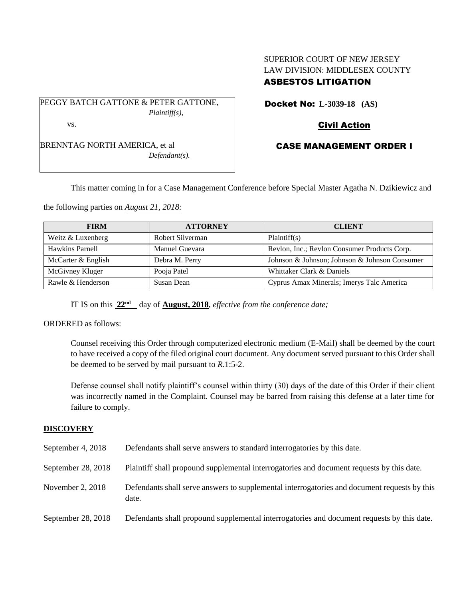# SUPERIOR COURT OF NEW JERSEY LAW DIVISION: MIDDLESEX COUNTY ASBESTOS LITIGATION

PEGGY BATCH GATTONE & PETER GATTONE, *Plaintiff(s),* vs.

BRENNTAG NORTH AMERICA, et al

*Defendant(s).*

Docket No: **L-3039-18 (AS)** 

## Civil Action

# CASE MANAGEMENT ORDER I

This matter coming in for a Case Management Conference before Special Master Agatha N. Dzikiewicz and

the following parties on *August 21, 2018:*

| <b>FIRM</b>        | <b>ATTORNEY</b>  | <b>CLIENT</b>                                 |
|--------------------|------------------|-----------------------------------------------|
| Weitz & Luxenberg  | Robert Silverman | Plaintiff(s)                                  |
| Hawkins Parnell    | Manuel Guevara   | Revlon, Inc.; Revlon Consumer Products Corp.  |
| McCarter & English | Debra M. Perry   | Johnson & Johnson; Johnson & Johnson Consumer |
| McGivney Kluger    | Pooja Patel      | Whittaker Clark & Daniels                     |
| Rawle & Henderson  | Susan Dean       | Cyprus Amax Minerals; Imerys Talc America     |

IT IS on this  $22<sup>nd</sup>$  day of **August, 2018**, *effective from the conference date*;

ORDERED as follows:

Counsel receiving this Order through computerized electronic medium (E-Mail) shall be deemed by the court to have received a copy of the filed original court document. Any document served pursuant to this Order shall be deemed to be served by mail pursuant to *R*.1:5-2.

Defense counsel shall notify plaintiff's counsel within thirty (30) days of the date of this Order if their client was incorrectly named in the Complaint. Counsel may be barred from raising this defense at a later time for failure to comply.

### **DISCOVERY**

| September 4, 2018  | Defendants shall serve answers to standard interrogatories by this date.                              |
|--------------------|-------------------------------------------------------------------------------------------------------|
| September 28, 2018 | Plaintiff shall propound supplemental interrogatories and document requests by this date.             |
| November 2, $2018$ | Defendants shall serve answers to supplemental interrogatories and document requests by this<br>date. |
| September 28, 2018 | Defendants shall propound supplemental interrogatories and document requests by this date.            |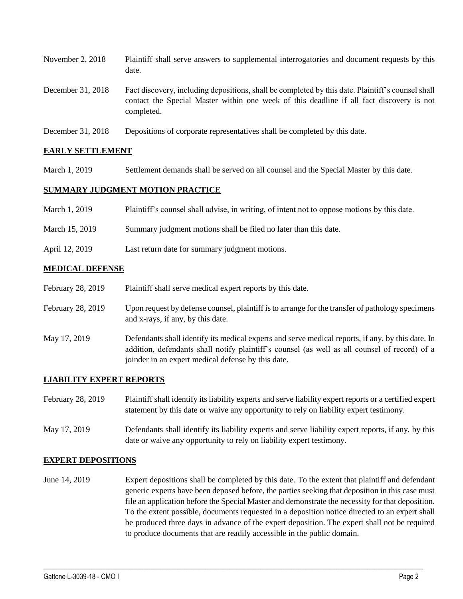| November 2, 2018  | Plaintiff shall serve answers to supplemental interrogatories and document requests by this<br>date.                                                                                                        |
|-------------------|-------------------------------------------------------------------------------------------------------------------------------------------------------------------------------------------------------------|
| December 31, 2018 | Fact discovery, including depositions, shall be completed by this date. Plaintiff's counsel shall<br>contact the Special Master within one week of this deadline if all fact discovery is not<br>completed. |
| December 31, 2018 | Depositions of corporate representatives shall be completed by this date.                                                                                                                                   |

### **EARLY SETTLEMENT**

March 1, 2019 Settlement demands shall be served on all counsel and the Special Master by this date.

### **SUMMARY JUDGMENT MOTION PRACTICE**

| March 1, 2019  | Plaintiff's counsel shall advise, in writing, of intent not to oppose motions by this date. |
|----------------|---------------------------------------------------------------------------------------------|
| March 15, 2019 | Summary judgment motions shall be filed no later than this date.                            |
| April 12, 2019 | Last return date for summary judgment motions.                                              |

### **MEDICAL DEFENSE**

| February 28, 2019 | Plaintiff shall serve medical expert reports by this date.                                                                                                                                                                                               |
|-------------------|----------------------------------------------------------------------------------------------------------------------------------------------------------------------------------------------------------------------------------------------------------|
| February 28, 2019 | Upon request by defense counsel, plaintiff is to arrange for the transfer of pathology specimens<br>and x-rays, if any, by this date.                                                                                                                    |
| May 17, 2019      | Defendants shall identify its medical experts and serve medical reports, if any, by this date. In<br>addition, defendants shall notify plaintiff's counsel (as well as all counsel of record) of a<br>joinder in an expert medical defense by this date. |

### **LIABILITY EXPERT REPORTS**

| February 28, 2019 | Plaintiff shall identify its liability experts and serve liability expert reports or a certified expert |
|-------------------|---------------------------------------------------------------------------------------------------------|
|                   | statement by this date or waive any opportunity to rely on liability expert testimony.                  |
|                   |                                                                                                         |

# May 17, 2019 Defendants shall identify its liability experts and serve liability expert reports, if any, by this date or waive any opportunity to rely on liability expert testimony.

### **EXPERT DEPOSITIONS**

June 14, 2019 Expert depositions shall be completed by this date. To the extent that plaintiff and defendant generic experts have been deposed before, the parties seeking that deposition in this case must file an application before the Special Master and demonstrate the necessity for that deposition. To the extent possible, documents requested in a deposition notice directed to an expert shall be produced three days in advance of the expert deposition. The expert shall not be required to produce documents that are readily accessible in the public domain.

 $\_$  ,  $\_$  ,  $\_$  ,  $\_$  ,  $\_$  ,  $\_$  ,  $\_$  ,  $\_$  ,  $\_$  ,  $\_$  ,  $\_$  ,  $\_$  ,  $\_$  ,  $\_$  ,  $\_$  ,  $\_$  ,  $\_$  ,  $\_$  ,  $\_$  ,  $\_$  ,  $\_$  ,  $\_$  ,  $\_$  ,  $\_$  ,  $\_$  ,  $\_$  ,  $\_$  ,  $\_$  ,  $\_$  ,  $\_$  ,  $\_$  ,  $\_$  ,  $\_$  ,  $\_$  ,  $\_$  ,  $\_$  ,  $\_$  ,